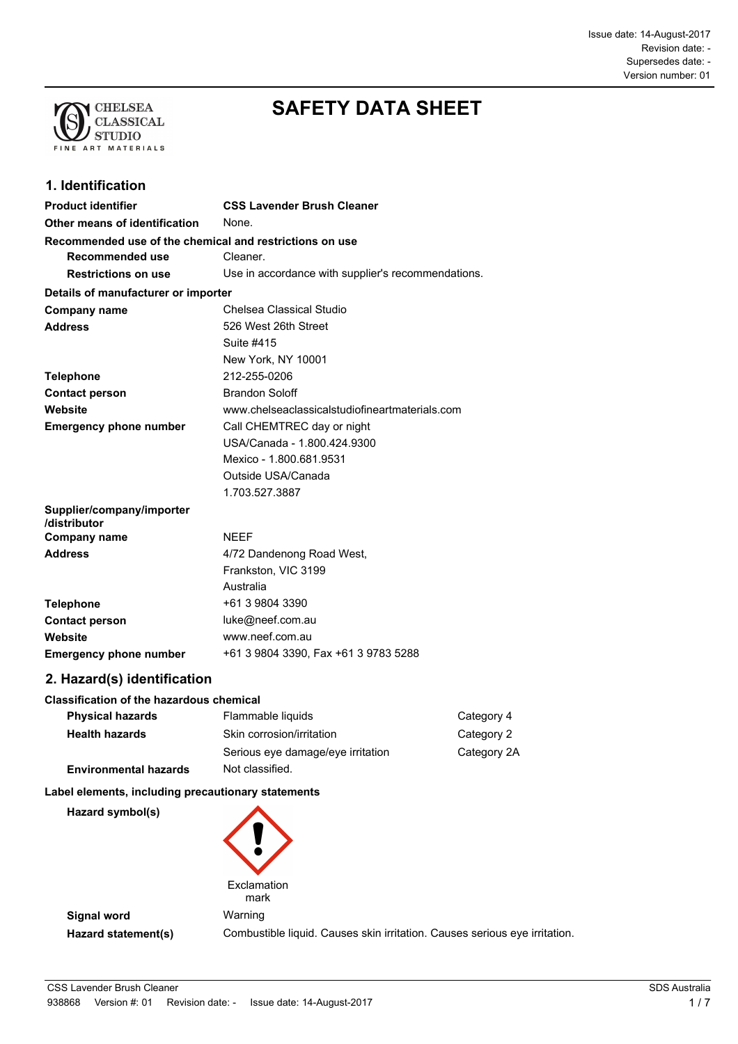

# **SAFETY DATA SHEET**

# **1. Identification**

| <b>Product identifier</b>                               | <b>CSS Lavender Brush Cleaner</b>                  |
|---------------------------------------------------------|----------------------------------------------------|
| Other means of identification                           | None.                                              |
| Recommended use of the chemical and restrictions on use |                                                    |
| Recommended use                                         | Cleaner.                                           |
| <b>Restrictions on use</b>                              | Use in accordance with supplier's recommendations. |
| Details of manufacturer or importer                     |                                                    |
| <b>Company name</b>                                     | Chelsea Classical Studio                           |
| <b>Address</b>                                          | 526 West 26th Street                               |
|                                                         | Suite #415                                         |
|                                                         | New York, NY 10001                                 |
| <b>Telephone</b>                                        | 212-255-0206                                       |
| <b>Contact person</b>                                   | <b>Brandon Soloff</b>                              |
| Website                                                 | www.chelseaclassicalstudiofineartmaterials.com     |
| <b>Emergency phone number</b>                           | Call CHEMTREC day or night                         |
|                                                         | USA/Canada - 1.800.424.9300                        |
|                                                         | Mexico - 1.800.681.9531                            |
|                                                         | Outside USA/Canada                                 |
|                                                         | 1.703.527.3887                                     |
| Supplier/company/importer<br>/distributor               |                                                    |
| <b>Company name</b>                                     | <b>NEEF</b>                                        |
| <b>Address</b>                                          | 4/72 Dandenong Road West,                          |
|                                                         | Frankston, VIC 3199                                |
|                                                         | Australia                                          |
| <b>Telephone</b>                                        | +61 3 9804 3390                                    |
| <b>Contact person</b>                                   | luke@neef.com.au                                   |
| Website                                                 | www.neef.com.au                                    |
| <b>Emergency phone number</b>                           | +61 3 9804 3390, Fax +61 3 9783 5288               |

# **2. Hazard(s) identification**

#### **Classification of the hazardous chemical**

| <b>Physical hazards</b>      | Flammable liquids                 | Category 4  |
|------------------------------|-----------------------------------|-------------|
| <b>Health hazards</b>        | Skin corrosion/irritation         | Category 2  |
|                              | Serious eye damage/eye irritation | Category 2A |
| <b>Environmental hazards</b> | Not classified.                   |             |

#### **Label elements, including precautionary statements**

| Hazard symbol(s)    |                                                                            |
|---------------------|----------------------------------------------------------------------------|
|                     | Exclamation<br>mark                                                        |
| Signal word         | Warning                                                                    |
| Hazard statement(s) | Combustible liquid. Causes skin irritation. Causes serious eye irritation. |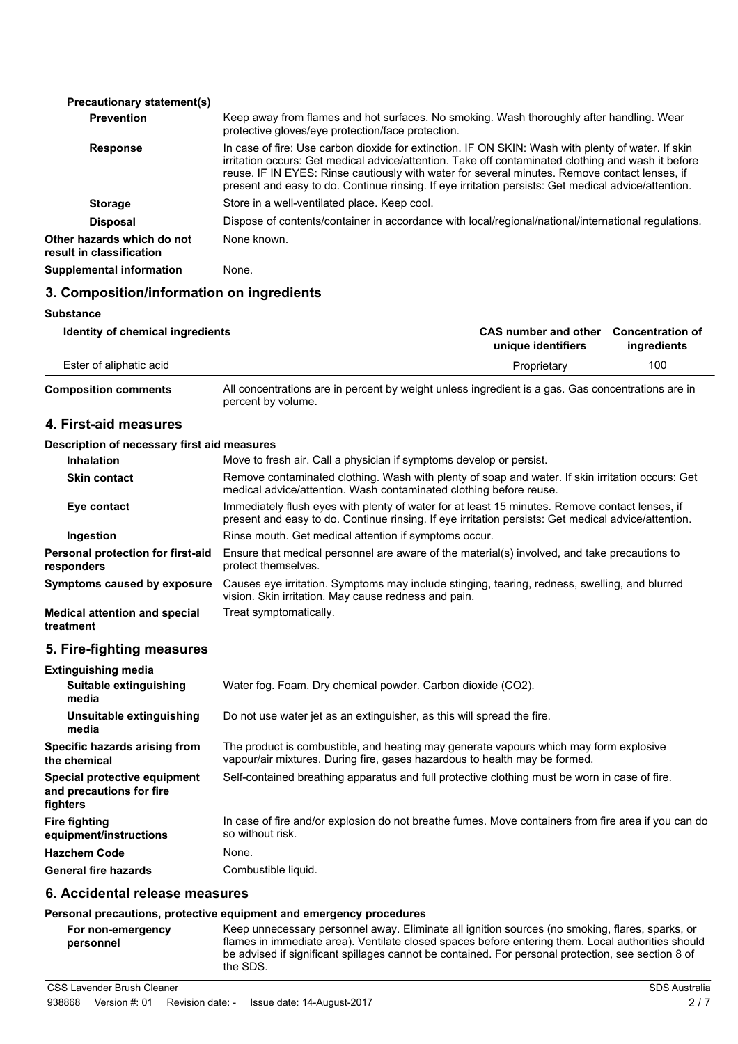| <b>Precautionary statement(s)</b>                      |                                                                                                                                                                                                                                                                                                                                                                                                                  |
|--------------------------------------------------------|------------------------------------------------------------------------------------------------------------------------------------------------------------------------------------------------------------------------------------------------------------------------------------------------------------------------------------------------------------------------------------------------------------------|
| <b>Prevention</b>                                      | Keep away from flames and hot surfaces. No smoking. Wash thoroughly after handling. Wear<br>protective gloves/eye protection/face protection.                                                                                                                                                                                                                                                                    |
| <b>Response</b>                                        | In case of fire: Use carbon dioxide for extinction. IF ON SKIN: Wash with plenty of water. If skin<br>irritation occurs: Get medical advice/attention. Take off contaminated clothing and wash it before<br>reuse. IF IN EYES: Rinse cautiously with water for several minutes. Remove contact lenses, if<br>present and easy to do. Continue rinsing. If eye irritation persists: Get medical advice/attention. |
| <b>Storage</b>                                         | Store in a well-ventilated place. Keep cool.                                                                                                                                                                                                                                                                                                                                                                     |
| <b>Disposal</b>                                        | Dispose of contents/container in accordance with local/regional/national/international regulations.                                                                                                                                                                                                                                                                                                              |
| Other hazards which do not<br>result in classification | None known.                                                                                                                                                                                                                                                                                                                                                                                                      |
| <b>Supplemental information</b>                        | None.                                                                                                                                                                                                                                                                                                                                                                                                            |
|                                                        |                                                                                                                                                                                                                                                                                                                                                                                                                  |

#### **3. Composition/information on ingredients**

#### **Substance**

Ĭ.

| Identity of chemical ingredients | CAS number and other Concentration of<br>unique identifiers | ingredients |
|----------------------------------|-------------------------------------------------------------|-------------|
| Ester of aliphatic acid          | Proprietary                                                 | 100         |
|                                  |                                                             |             |

All concentrations are in percent by weight unless ingredient is a gas. Gas concentrations are in percent by volume. **Composition comments**

#### **4. First-aid measures**

#### **Description of necessary first aid measures**

| <b>Inhalation</b>                                 | Move to fresh air. Call a physician if symptoms develop or persist.                                                                                                                                   |
|---------------------------------------------------|-------------------------------------------------------------------------------------------------------------------------------------------------------------------------------------------------------|
| <b>Skin contact</b>                               | Remove contaminated clothing. Wash with plenty of soap and water. If skin irritation occurs: Get<br>medical advice/attention. Wash contaminated clothing before reuse.                                |
| Eye contact                                       | Immediately flush eyes with plenty of water for at least 15 minutes. Remove contact lenses, if<br>present and easy to do. Continue rinsing. If eye irritation persists: Get medical advice/attention. |
| Ingestion                                         | Rinse mouth. Get medical attention if symptoms occur.                                                                                                                                                 |
| Personal protection for first-aid<br>responders   | Ensure that medical personnel are aware of the material(s) involved, and take precautions to<br>protect themselves.                                                                                   |
| Symptoms caused by exposure                       | Causes eye irritation. Symptoms may include stinging, tearing, redness, swelling, and blurred<br>vision. Skin irritation. May cause redness and pain.                                                 |
| <b>Medical attention and special</b><br>treatment | Treat symptomatically.                                                                                                                                                                                |

# **5. Fire-fighting measures**

| In case of fire and/or explosion do not breathe fumes. Move containers from fire area if you can do |
|-----------------------------------------------------------------------------------------------------|
|                                                                                                     |
|                                                                                                     |
|                                                                                                     |

#### **6. Accidental release measures**

#### **Personal precautions, protective equipment and emergency procedures**

Keep unnecessary personnel away. Eliminate all ignition sources (no smoking, flares, sparks, or flames in immediate area). Ventilate closed spaces before entering them. Local authorities should be advised if significant spillages cannot be contained. For personal protection, see section 8 of the SDS. **For non-emergency personnel**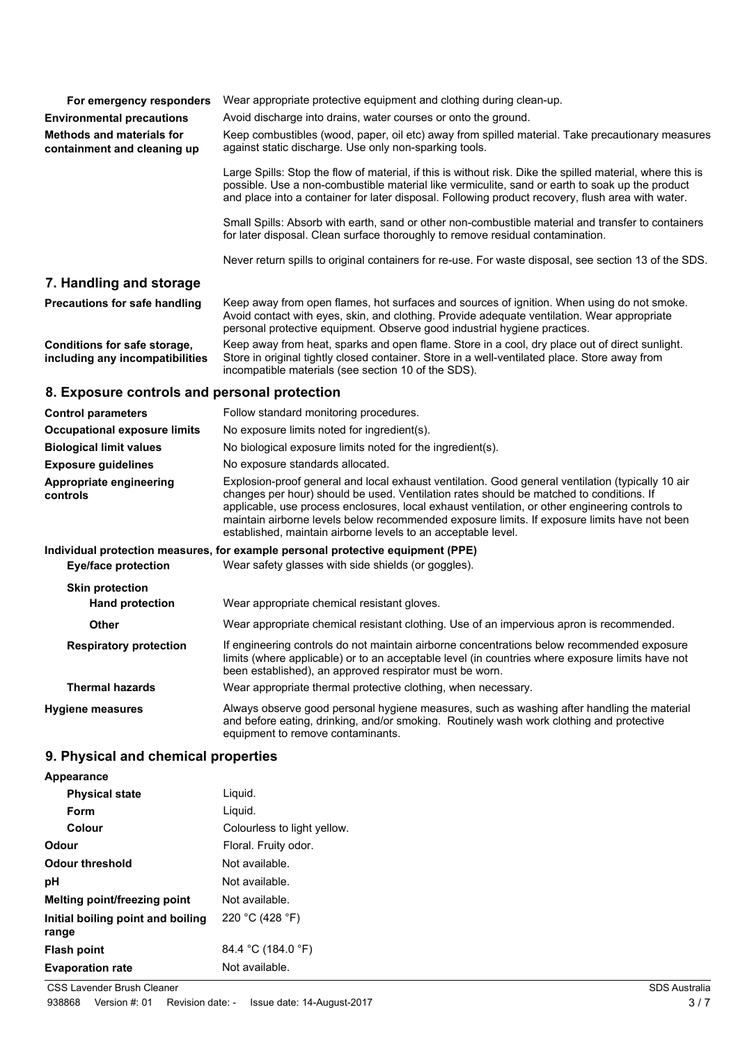| For emergency responders                                        | Wear appropriate protective equipment and clothing during clean-up.                                                                                                                                                                                                                                                                                                                                                                                              |
|-----------------------------------------------------------------|------------------------------------------------------------------------------------------------------------------------------------------------------------------------------------------------------------------------------------------------------------------------------------------------------------------------------------------------------------------------------------------------------------------------------------------------------------------|
| <b>Environmental precautions</b>                                | Avoid discharge into drains, water courses or onto the ground.                                                                                                                                                                                                                                                                                                                                                                                                   |
| <b>Methods and materials for</b><br>containment and cleaning up | Keep combustibles (wood, paper, oil etc) away from spilled material. Take precautionary measures<br>against static discharge. Use only non-sparking tools.                                                                                                                                                                                                                                                                                                       |
|                                                                 | Large Spills: Stop the flow of material, if this is without risk. Dike the spilled material, where this is<br>possible. Use a non-combustible material like vermiculite, sand or earth to soak up the product<br>and place into a container for later disposal. Following product recovery, flush area with water.                                                                                                                                               |
|                                                                 | Small Spills: Absorb with earth, sand or other non-combustible material and transfer to containers<br>for later disposal. Clean surface thoroughly to remove residual contamination.                                                                                                                                                                                                                                                                             |
|                                                                 | Never return spills to original containers for re-use. For waste disposal, see section 13 of the SDS.                                                                                                                                                                                                                                                                                                                                                            |
| 7. Handling and storage                                         |                                                                                                                                                                                                                                                                                                                                                                                                                                                                  |
| <b>Precautions for safe handling</b>                            | Keep away from open flames, hot surfaces and sources of ignition. When using do not smoke.<br>Avoid contact with eyes, skin, and clothing. Provide adequate ventilation. Wear appropriate<br>personal protective equipment. Observe good industrial hygiene practices.                                                                                                                                                                                           |
| Conditions for safe storage,<br>including any incompatibilities | Keep away from heat, sparks and open flame. Store in a cool, dry place out of direct sunlight.<br>Store in original tightly closed container. Store in a well-ventilated place. Store away from<br>incompatible materials (see section 10 of the SDS).                                                                                                                                                                                                           |
| 8. Exposure controls and personal protection                    |                                                                                                                                                                                                                                                                                                                                                                                                                                                                  |
| <b>Control parameters</b>                                       | Follow standard monitoring procedures.                                                                                                                                                                                                                                                                                                                                                                                                                           |
| <b>Occupational exposure limits</b>                             | No exposure limits noted for ingredient(s).                                                                                                                                                                                                                                                                                                                                                                                                                      |
| <b>Biological limit values</b>                                  | No biological exposure limits noted for the ingredient(s).                                                                                                                                                                                                                                                                                                                                                                                                       |
| <b>Exposure guidelines</b>                                      | No exposure standards allocated.                                                                                                                                                                                                                                                                                                                                                                                                                                 |
| Appropriate engineering<br>controls                             | Explosion-proof general and local exhaust ventilation. Good general ventilation (typically 10 air<br>changes per hour) should be used. Ventilation rates should be matched to conditions. If<br>applicable, use process enclosures, local exhaust ventilation, or other engineering controls to<br>maintain airborne levels below recommended exposure limits. If exposure limits have not been<br>established, maintain airborne levels to an acceptable level. |
|                                                                 | Individual protection measures, for example personal protective equipment (PPE)                                                                                                                                                                                                                                                                                                                                                                                  |
| <b>Eye/face protection</b>                                      | Wear safety glasses with side shields (or goggles).                                                                                                                                                                                                                                                                                                                                                                                                              |
| <b>Skin protection</b>                                          |                                                                                                                                                                                                                                                                                                                                                                                                                                                                  |
| <b>Hand protection</b>                                          | Wear appropriate chemical resistant gloves.                                                                                                                                                                                                                                                                                                                                                                                                                      |
| Other                                                           | Wear appropriate chemical resistant clothing. Use of an impervious apron is recommended.                                                                                                                                                                                                                                                                                                                                                                         |
| <b>Respiratory protection</b>                                   | If engineering controls do not maintain airborne concentrations below recommended exposure<br>limits (where applicable) or to an acceptable level (in countries where exposure limits have not<br>been established), an approved respirator must be worn.                                                                                                                                                                                                        |
| <b>Thermal hazards</b>                                          | Wear appropriate thermal protective clothing, when necessary.                                                                                                                                                                                                                                                                                                                                                                                                    |
| <b>Hygiene measures</b>                                         | Always observe good personal hygiene measures, such as washing after handling the material<br>and before eating, drinking, and/or smoking. Routinely wash work clothing and protective<br>equipment to remove contaminants.                                                                                                                                                                                                                                      |
| 9. Physical and chemical properties                             |                                                                                                                                                                                                                                                                                                                                                                                                                                                                  |
| Appearance                                                      |                                                                                                                                                                                                                                                                                                                                                                                                                                                                  |

| <b>Physical state</b>                      | Liquid.                     |
|--------------------------------------------|-----------------------------|
| Form                                       | Liguid.                     |
| Colour                                     | Colourless to light yellow. |
| Odour                                      | Floral. Fruity odor.        |
| <b>Odour threshold</b>                     | Not available.              |
| рH                                         | Not available.              |
| Melting point/freezing point               | Not available.              |
| Initial boiling point and boiling<br>range | 220 °C (428 °F)             |
| <b>Flash point</b>                         | 84.4 °C (184.0 °F)          |
| <b>Evaporation rate</b>                    | Not available.              |

**CSS Lavender Brush Cleaner** SDS Australia **COSS**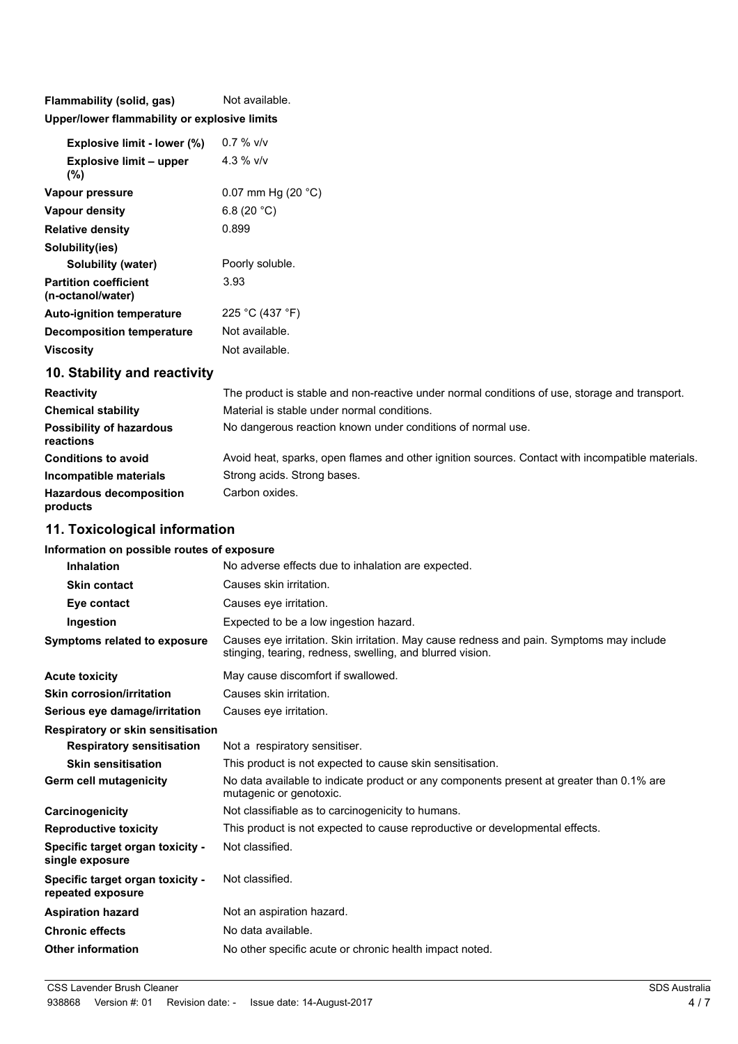**Flammability (solid, gas)** Not available. **Upper/lower flammability or explosive limits**

| <b>Explosive limit - lower (%)</b>                | $0.7 \%$ v/v         |
|---------------------------------------------------|----------------------|
| <b>Explosive limit - upper</b><br>(%)             | 4.3 % $V/V$          |
| Vapour pressure                                   | 0.07 mm Hg $(20 °C)$ |
| Vapour density                                    | 6.8 (20 $°C$ )       |
| <b>Relative density</b>                           | 0.899                |
| Solubility(ies)                                   |                      |
| Solubility (water)                                | Poorly soluble.      |
| <b>Partition coefficient</b><br>(n-octanol/water) | 3.93                 |
| <b>Auto-ignition temperature</b>                  | 225 °C (437 °F)      |
| <b>Decomposition temperature</b>                  | Not available.       |
| Viscositv                                         | Not available.       |

# **10. Stability and reactivity**

| <b>Reactivity</b>                            | The product is stable and non-reactive under normal conditions of use, storage and transport.    |
|----------------------------------------------|--------------------------------------------------------------------------------------------------|
| <b>Chemical stability</b>                    | Material is stable under normal conditions.                                                      |
| <b>Possibility of hazardous</b><br>reactions | No dangerous reaction known under conditions of normal use.                                      |
| <b>Conditions to avoid</b>                   | Avoid heat, sparks, open flames and other ignition sources. Contact with incompatible materials. |
| Incompatible materials                       | Strong acids. Strong bases.                                                                      |
| <b>Hazardous decomposition</b><br>products   | Carbon oxides.                                                                                   |

# **11. Toxicological information**

#### **Information on possible routes of exposure**

| Causes skin irritation.<br><b>Skin contact</b><br>Causes eye irritation.<br>Eye contact<br>Expected to be a low ingestion hazard.<br>Ingestion<br>Causes eye irritation. Skin irritation. May cause redness and pain. Symptoms may include<br>Symptoms related to exposure<br>stinging, tearing, redness, swelling, and blurred vision.<br>May cause discomfort if swallowed.<br>Causes skin irritation.<br><b>Skin corrosion/irritation</b><br>Causes eye irritation.<br>Serious eye damage/irritation<br><b>Respiratory or skin sensitisation</b><br>Not a respiratory sensitiser.<br><b>Respiratory sensitisation</b><br><b>Skin sensitisation</b><br>This product is not expected to cause skin sensitisation.<br>No data available to indicate product or any components present at greater than 0.1% are<br>mutagenic or genotoxic.<br>Not classifiable as to carcinogenicity to humans.<br>This product is not expected to cause reproductive or developmental effects.<br><b>Reproductive toxicity</b><br>Not classified.<br>Specific target organ toxicity -<br>Not classified.<br>Specific target organ toxicity -<br>repeated exposure<br>Not an aspiration hazard.<br>No data available.<br>No other specific acute or chronic health impact noted. | <b>Inhalation</b>        | No adverse effects due to inhalation are expected. |
|-----------------------------------------------------------------------------------------------------------------------------------------------------------------------------------------------------------------------------------------------------------------------------------------------------------------------------------------------------------------------------------------------------------------------------------------------------------------------------------------------------------------------------------------------------------------------------------------------------------------------------------------------------------------------------------------------------------------------------------------------------------------------------------------------------------------------------------------------------------------------------------------------------------------------------------------------------------------------------------------------------------------------------------------------------------------------------------------------------------------------------------------------------------------------------------------------------------------------------------------------------------------|--------------------------|----------------------------------------------------|
|                                                                                                                                                                                                                                                                                                                                                                                                                                                                                                                                                                                                                                                                                                                                                                                                                                                                                                                                                                                                                                                                                                                                                                                                                                                                 |                          |                                                    |
|                                                                                                                                                                                                                                                                                                                                                                                                                                                                                                                                                                                                                                                                                                                                                                                                                                                                                                                                                                                                                                                                                                                                                                                                                                                                 |                          |                                                    |
|                                                                                                                                                                                                                                                                                                                                                                                                                                                                                                                                                                                                                                                                                                                                                                                                                                                                                                                                                                                                                                                                                                                                                                                                                                                                 |                          |                                                    |
|                                                                                                                                                                                                                                                                                                                                                                                                                                                                                                                                                                                                                                                                                                                                                                                                                                                                                                                                                                                                                                                                                                                                                                                                                                                                 |                          |                                                    |
|                                                                                                                                                                                                                                                                                                                                                                                                                                                                                                                                                                                                                                                                                                                                                                                                                                                                                                                                                                                                                                                                                                                                                                                                                                                                 | <b>Acute toxicity</b>    |                                                    |
|                                                                                                                                                                                                                                                                                                                                                                                                                                                                                                                                                                                                                                                                                                                                                                                                                                                                                                                                                                                                                                                                                                                                                                                                                                                                 |                          |                                                    |
|                                                                                                                                                                                                                                                                                                                                                                                                                                                                                                                                                                                                                                                                                                                                                                                                                                                                                                                                                                                                                                                                                                                                                                                                                                                                 |                          |                                                    |
|                                                                                                                                                                                                                                                                                                                                                                                                                                                                                                                                                                                                                                                                                                                                                                                                                                                                                                                                                                                                                                                                                                                                                                                                                                                                 |                          |                                                    |
|                                                                                                                                                                                                                                                                                                                                                                                                                                                                                                                                                                                                                                                                                                                                                                                                                                                                                                                                                                                                                                                                                                                                                                                                                                                                 |                          |                                                    |
|                                                                                                                                                                                                                                                                                                                                                                                                                                                                                                                                                                                                                                                                                                                                                                                                                                                                                                                                                                                                                                                                                                                                                                                                                                                                 |                          |                                                    |
|                                                                                                                                                                                                                                                                                                                                                                                                                                                                                                                                                                                                                                                                                                                                                                                                                                                                                                                                                                                                                                                                                                                                                                                                                                                                 | Germ cell mutagenicity   |                                                    |
|                                                                                                                                                                                                                                                                                                                                                                                                                                                                                                                                                                                                                                                                                                                                                                                                                                                                                                                                                                                                                                                                                                                                                                                                                                                                 | Carcinogenicity          |                                                    |
|                                                                                                                                                                                                                                                                                                                                                                                                                                                                                                                                                                                                                                                                                                                                                                                                                                                                                                                                                                                                                                                                                                                                                                                                                                                                 |                          |                                                    |
|                                                                                                                                                                                                                                                                                                                                                                                                                                                                                                                                                                                                                                                                                                                                                                                                                                                                                                                                                                                                                                                                                                                                                                                                                                                                 | single exposure          |                                                    |
|                                                                                                                                                                                                                                                                                                                                                                                                                                                                                                                                                                                                                                                                                                                                                                                                                                                                                                                                                                                                                                                                                                                                                                                                                                                                 |                          |                                                    |
|                                                                                                                                                                                                                                                                                                                                                                                                                                                                                                                                                                                                                                                                                                                                                                                                                                                                                                                                                                                                                                                                                                                                                                                                                                                                 | <b>Aspiration hazard</b> |                                                    |
|                                                                                                                                                                                                                                                                                                                                                                                                                                                                                                                                                                                                                                                                                                                                                                                                                                                                                                                                                                                                                                                                                                                                                                                                                                                                 | <b>Chronic effects</b>   |                                                    |
|                                                                                                                                                                                                                                                                                                                                                                                                                                                                                                                                                                                                                                                                                                                                                                                                                                                                                                                                                                                                                                                                                                                                                                                                                                                                 | <b>Other information</b> |                                                    |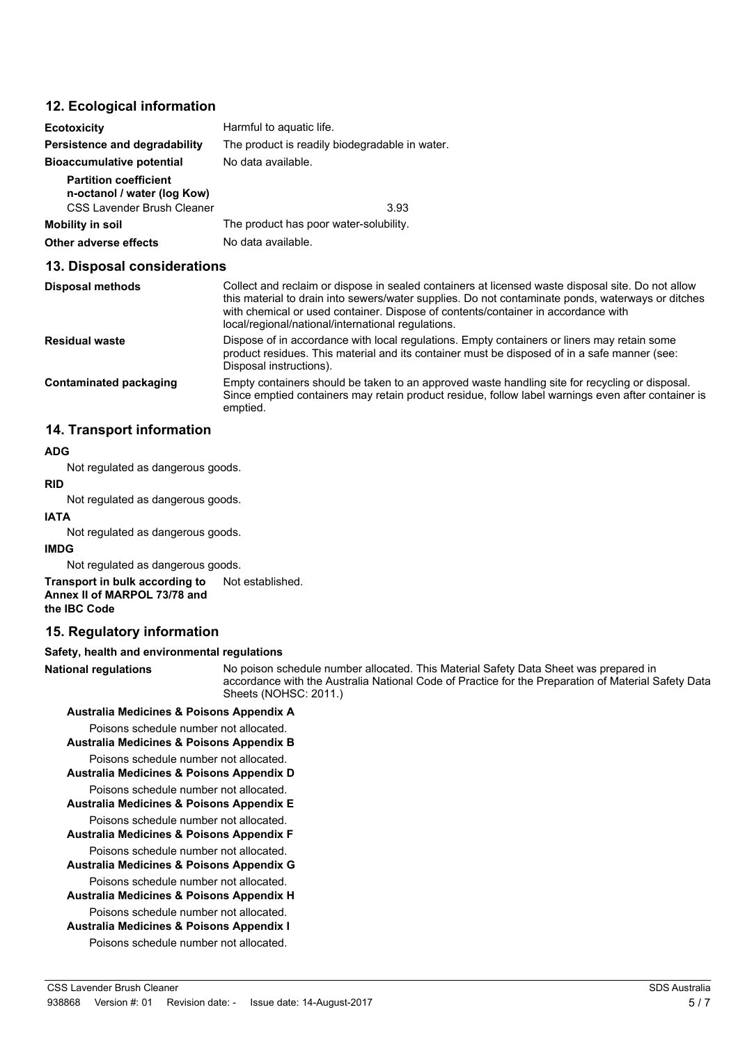### **12. Ecological information**

| <b>Ecotoxicity</b>                                                                        | Harmful to aquatic life.                                                                                                                                                                                                                                                                                                                          |  |  |
|-------------------------------------------------------------------------------------------|---------------------------------------------------------------------------------------------------------------------------------------------------------------------------------------------------------------------------------------------------------------------------------------------------------------------------------------------------|--|--|
| Persistence and degradability                                                             | The product is readily biodegradable in water.<br>No data available.                                                                                                                                                                                                                                                                              |  |  |
| <b>Bioaccumulative potential</b>                                                          |                                                                                                                                                                                                                                                                                                                                                   |  |  |
| <b>Partition coefficient</b><br>n-octanol / water (log Kow)<br>CSS Lavender Brush Cleaner | 3.93                                                                                                                                                                                                                                                                                                                                              |  |  |
| Mobility in soil                                                                          | The product has poor water-solubility.                                                                                                                                                                                                                                                                                                            |  |  |
| <b>Other adverse effects</b>                                                              | No data available.                                                                                                                                                                                                                                                                                                                                |  |  |
| 13. Disposal considerations                                                               |                                                                                                                                                                                                                                                                                                                                                   |  |  |
| <b>Disposal methods</b>                                                                   | Collect and reclaim or dispose in sealed containers at licensed waste disposal site. Do not allow<br>this material to drain into sewers/water supplies. Do not contaminate ponds, waterways or ditches<br>with chemical or used container. Dispose of contents/container in accordance with<br>local/regional/national/international regulations. |  |  |
| <b>Residual waste</b>                                                                     | Dispose of in accordance with local regulations. Empty containers or liners may retain some<br>product residues. This material and its container must be disposed of in a safe manner (see:<br>Disposal instructions).                                                                                                                            |  |  |
| Contaminated packaging                                                                    | Empty containers should be taken to an approved waste handling site for recycling or disposal.<br>Since emptied containers may retain product residue, follow label warnings even after container is                                                                                                                                              |  |  |

### **14. Transport information**

#### **ADG**

Not regulated as dangerous goods.

# **RID**

Not regulated as dangerous goods.

# **IATA**

Not regulated as dangerous goods.

#### **IMDG**

Not regulated as dangerous goods.

**Transport in bulk according to** Not established. **Annex II of MARPOL 73/78 and the IBC Code**

emptied.

# **15. Regulatory information**

#### **Safety, health and environmental regulations**

**National regulations**

No poison schedule number allocated. This Material Safety Data Sheet was prepared in accordance with the Australia National Code of Practice for the Preparation of Material Safety Data Sheets (NOHSC: 2011.)

## **Australia Medicines & Poisons Appendix A**

Poisons schedule number not allocated.

# **Australia Medicines & Poisons Appendix B**

Poisons schedule number not allocated. **Australia Medicines & Poisons Appendix D**

Poisons schedule number not allocated.

**Australia Medicines & Poisons Appendix E**

Poisons schedule number not allocated. **Australia Medicines & Poisons Appendix F**

Poisons schedule number not allocated.

**Australia Medicines & Poisons Appendix G**

Poisons schedule number not allocated.

**Australia Medicines & Poisons Appendix H** Poisons schedule number not allocated.

**Australia Medicines & Poisons Appendix I**

Poisons schedule number not allocated.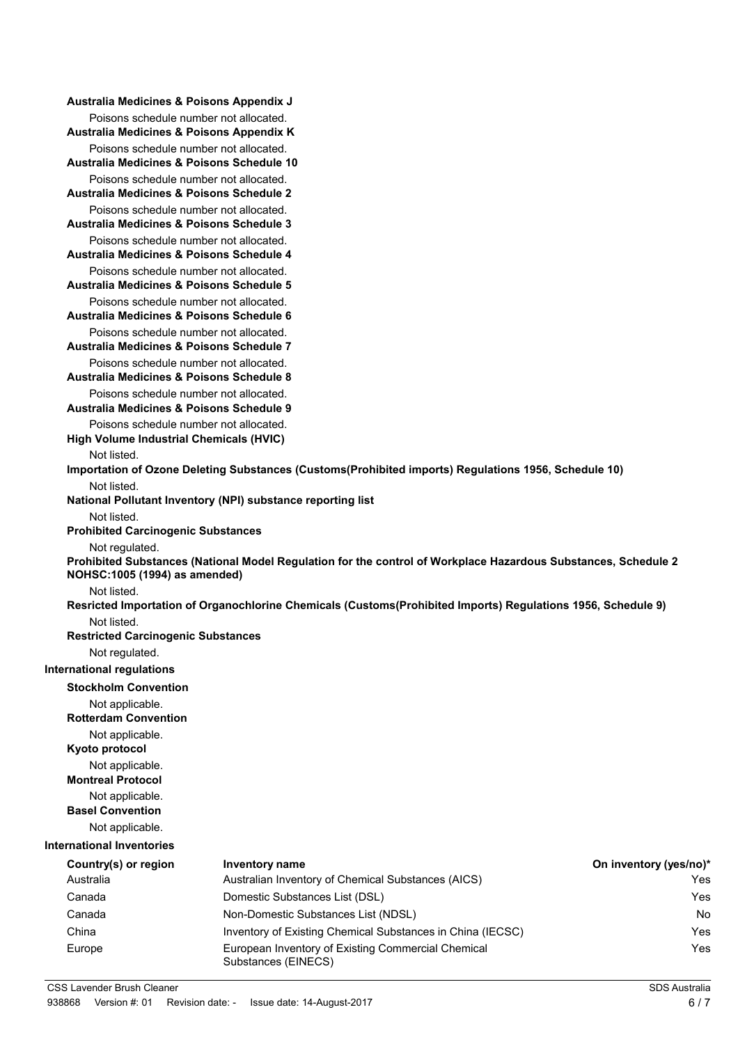| Australia Medicines & Poisons Appendix J                                                      |                                                                                                                |                        |
|-----------------------------------------------------------------------------------------------|----------------------------------------------------------------------------------------------------------------|------------------------|
| Poisons schedule number not allocated.                                                        |                                                                                                                |                        |
| Australia Medicines & Poisons Appendix K                                                      |                                                                                                                |                        |
| Poisons schedule number not allocated.<br>Australia Medicines & Poisons Schedule 10           |                                                                                                                |                        |
| Poisons schedule number not allocated.<br>Australia Medicines & Poisons Schedule 2            |                                                                                                                |                        |
| Poisons schedule number not allocated.<br><b>Australia Medicines &amp; Poisons Schedule 3</b> |                                                                                                                |                        |
| Poisons schedule number not allocated.<br>Australia Medicines & Poisons Schedule 4            |                                                                                                                |                        |
| Poisons schedule number not allocated.<br>Australia Medicines & Poisons Schedule 5            |                                                                                                                |                        |
| Poisons schedule number not allocated.                                                        |                                                                                                                |                        |
| <b>Australia Medicines &amp; Poisons Schedule 6</b>                                           |                                                                                                                |                        |
| Poisons schedule number not allocated.<br>Australia Medicines & Poisons Schedule 7            |                                                                                                                |                        |
| Poisons schedule number not allocated.                                                        |                                                                                                                |                        |
| Australia Medicines & Poisons Schedule 8                                                      |                                                                                                                |                        |
| Poisons schedule number not allocated.<br>Australia Medicines & Poisons Schedule 9            |                                                                                                                |                        |
| Poisons schedule number not allocated.<br>High Volume Industrial Chemicals (HVIC)             |                                                                                                                |                        |
| Not listed.                                                                                   |                                                                                                                |                        |
|                                                                                               | Importation of Ozone Deleting Substances (Customs(Prohibited imports) Regulations 1956, Schedule 10)           |                        |
| Not listed.                                                                                   |                                                                                                                |                        |
| Not listed.                                                                                   | National Pollutant Inventory (NPI) substance reporting list                                                    |                        |
| <b>Prohibited Carcinogenic Substances</b>                                                     |                                                                                                                |                        |
| Not regulated.<br>NOHSC:1005 (1994) as amended)                                               | Prohibited Substances (National Model Regulation for the control of Workplace Hazardous Substances, Schedule 2 |                        |
| Not listed.                                                                                   |                                                                                                                |                        |
|                                                                                               | Resricted Importation of Organochlorine Chemicals (Customs(Prohibited Imports) Regulations 1956, Schedule 9)   |                        |
| Not listed.<br><b>Restricted Carcinogenic Substances</b>                                      |                                                                                                                |                        |
| Not regulated.                                                                                |                                                                                                                |                        |
| <b>International regulations</b>                                                              |                                                                                                                |                        |
| <b>Stockholm Convention</b>                                                                   |                                                                                                                |                        |
| Not applicable.<br><b>Rotterdam Convention</b>                                                |                                                                                                                |                        |
| Not applicable.<br>Kyoto protocol                                                             |                                                                                                                |                        |
| Not applicable.<br><b>Montreal Protocol</b>                                                   |                                                                                                                |                        |
| Not applicable.<br><b>Basel Convention</b>                                                    |                                                                                                                |                        |
| Not applicable.                                                                               |                                                                                                                |                        |
| <b>International Inventories</b>                                                              |                                                                                                                |                        |
| Country(s) or region                                                                          | <b>Inventory name</b>                                                                                          | On inventory (yes/no)* |
| Australia                                                                                     | Australian Inventory of Chemical Substances (AICS)                                                             | Yes                    |
| Canada                                                                                        | Domestic Substances List (DSL)                                                                                 | Yes                    |
| Canada                                                                                        | Non-Domestic Substances List (NDSL)                                                                            | No.                    |
| China                                                                                         | Inventory of Existing Chemical Substances in China (IECSC)                                                     | Yes                    |
| Europe                                                                                        | European Inventory of Existing Commercial Chemical<br>Substances (EINECS)                                      | Yes                    |